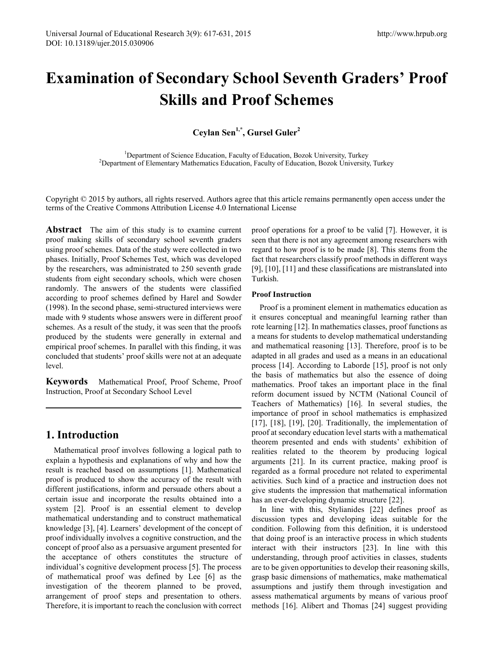# **Examination of Secondary School Seventh Graders' Proof Skills and Proof Schemes**

**Ceylan Sen1,\*, Gursel Guler2**

<sup>1</sup>Department of Science Education, Faculty of Education, Bozok University, Turkey Department of Science Education, Faculty of Education, Bozok University, Turkey <sup>2</sup> Department of Elementary Mathematics Education, Faculty of Education, Bozok University, Turkey

Copyright © 2015 by authors, all rights reserved. Authors agree that this article remains permanently open access under the terms of the Creative Commons Attribution License 4.0 International License

**Abstract** The aim of this study is to examine current proof making skills of secondary school seventh graders using proof schemes. Data of the study were collected in two phases. Initially, Proof Schemes Test, which was developed by the researchers, was administrated to 250 seventh grade students from eight secondary schools, which were chosen randomly. The answers of the students were classified according to proof schemes defined by Harel and Sowder (1998). In the second phase, semi-structured interviews were made with 9 students whose answers were in different proof schemes. As a result of the study, it was seen that the proofs produced by the students were generally in external and empirical proof schemes. In parallel with this finding, it was concluded that students' proof skills were not at an adequate level.

**Keywords** Mathematical Proof, Proof Scheme, Proof Instruction, Proof at Secondary School Level

# **1. Introduction**

Mathematical proof involves following a logical path to explain a hypothesis and explanations of why and how the result is reached based on assumptions [1]. Mathematical proof is produced to show the accuracy of the result with different justifications, inform and persuade others about a certain issue and incorporate the results obtained into a system [2]. Proof is an essential element to develop mathematical understanding and to construct mathematical knowledge [3], [4]. Learners' development of the concept of proof individually involves a cognitive construction, and the concept of proof also as a persuasive argument presented for the acceptance of others constitutes the structure of individual's cognitive development process [5]. The process of mathematical proof was defined by Lee [6] as the investigation of the theorem planned to be proved, arrangement of proof steps and presentation to others. Therefore, it is important to reach the conclusion with correct proof operations for a proof to be valid [7]. However, it is seen that there is not any agreement among researchers with regard to how proof is to be made [8]. This stems from the fact that researchers classify proof methods in different ways [9], [10], [11] and these classifications are mistranslated into Turkish.

## **Proof Instruction**

Proof is a prominent element in mathematics education as it ensures conceptual and meaningful learning rather than rote learning [12]. In mathematics classes, proof functions as a means for students to develop mathematical understanding and mathematical reasoning [13]. Therefore, proof is to be adapted in all grades and used as a means in an educational process [14]. According to Laborde [15], proof is not only the basis of mathematics but also the essence of doing mathematics. Proof takes an important place in the final reform document issued by NCTM (National Council of Teachers of Mathematics) [16]. In several studies, the importance of proof in school mathematics is emphasized [17], [18], [19], [20]. Traditionally, the implementation of proof at secondary education level starts with a mathematical theorem presented and ends with students' exhibition of realities related to the theorem by producing logical arguments [21]. In its current practice, making proof is regarded as a formal procedure not related to experimental activities. Such kind of a practice and instruction does not give students the impression that mathematical information has an ever-developing dynamic structure [22].

In line with this, Stylianides [22] defines proof as discussion types and developing ideas suitable for the condition. Following from this definition, it is understood that doing proof is an interactive process in which students interact with their instructors [23]. In line with this understanding, through proof activities in classes, students are to be given opportunities to develop their reasoning skills, grasp basic dimensions of mathematics, make mathematical assumptions and justify them through investigation and assess mathematical arguments by means of various proof methods [16]. Alibert and Thomas [24] suggest providing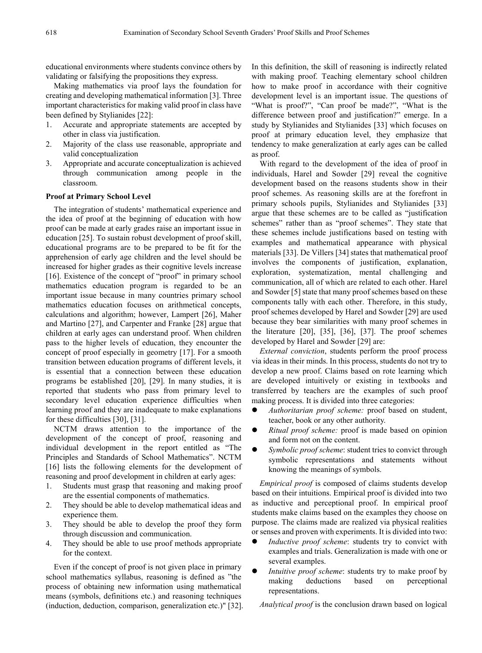educational environments where students convince others by validating or falsifying the propositions they express.

Making mathematics via proof lays the foundation for creating and developing mathematical information [3]. Three important characteristics for making valid proof in class have been defined by Stylianides [22]:

- 1. Accurate and appropriate statements are accepted by other in class via justification.
- 2. Majority of the class use reasonable, appropriate and valid conceptualization
- 3. Appropriate and accurate conceptualization is achieved through communication among people in the classroom.

### **Proof at Primary School Level**

The integration of students' mathematical experience and the idea of proof at the beginning of education with how proof can be made at early grades raise an important issue in education [25]. To sustain robust development of proof skill, educational programs are to be prepared to be fit for the apprehension of early age children and the level should be increased for higher grades as their cognitive levels increase [16]. Existence of the concept of "proof" in primary school mathematics education program is regarded to be an important issue because in many countries primary school mathematics education focuses on arithmetical concepts, calculations and algorithm; however, Lampert [26], Maher and Martino [27], and Carpenter and Franke [28] argue that children at early ages can understand proof. When children pass to the higher levels of education, they encounter the concept of proof especially in geometry [17]. For a smooth transition between education programs of different levels, it is essential that a connection between these education programs be established [20], [29]. In many studies, it is reported that students who pass from primary level to secondary level education experience difficulties when learning proof and they are inadequate to make explanations for these difficulties [30], [31].

NCTM draws attention to the importance of the development of the concept of proof, reasoning and individual development in the report entitled as "The Principles and Standards of School Mathematics". NCTM [16] lists the following elements for the development of reasoning and proof development in children at early ages:

- 1. Students must grasp that reasoning and making proof are the essential components of mathematics.
- 2. They should be able to develop mathematical ideas and experience them.
- 3. They should be able to develop the proof they form through discussion and communication.
- 4. They should be able to use proof methods appropriate for the context.

Even if the concept of proof is not given place in primary school mathematics syllabus, reasoning is defined as "the process of obtaining new information using mathematical means (symbols, definitions etc.) and reasoning techniques (induction, deduction, comparison, generalization etc.)" [32].

In this definition, the skill of reasoning is indirectly related with making proof. Teaching elementary school children how to make proof in accordance with their cognitive development level is an important issue. The questions of "What is proof?", "Can proof be made?", "What is the difference between proof and justification?" emerge. In a study by Stylianides and Stylianides [33] which focuses on proof at primary education level, they emphasize that tendency to make generalization at early ages can be called as proof.

With regard to the development of the idea of proof in individuals, Harel and Sowder [29] reveal the cognitive development based on the reasons students show in their proof schemes. As reasoning skills are at the forefront in primary schools pupils, Stylianides and Stylianides [33] argue that these schemes are to be called as "justification schemes" rather than as "proof schemes". They state that these schemes include justifications based on testing with examples and mathematical appearance with physical materials [33]. De Villers [34] states that mathematical proof involves the components of justification, explanation, exploration, systematization, mental challenging and communication, all of which are related to each other. Harel and Sowder [5] state that many proof schemes based on these components tally with each other. Therefore, in this study, proof schemes developed by Harel and Sowder [29] are used because they bear similarities with many proof schemes in the literature  $[20]$ ,  $[35]$ ,  $[36]$ ,  $[37]$ . The proof schemes developed by Harel and Sowder [29] are:

*External conviction*, students perform the proof process via ideas in their minds. In this process, students do not try to develop a new proof. Claims based on rote learning which are developed intuitively or existing in textbooks and transferred by teachers are the examples of such proof making process. It is divided into three categories:

- *Authoritarian proof scheme:* proof based on student, teacher, book or any other authority.
- *Ritual proof scheme:* proof is made based on opinion and form not on the content.
- *Symbolic proof scheme*: student tries to convict through symbolic representations and statements without knowing the meanings of symbols.

*Empirical proof* is composed of claims students develop based on their intuitions. Empirical proof is divided into two as inductive and perceptional proof. In empirical proof students make claims based on the examples they choose on purpose. The claims made are realized via physical realities or senses and proven with experiments. It is divided into two:

- *Inductive proof scheme*: students try to convict with examples and trials. Generalization is made with one or several examples.
- *Intuitive proof scheme*: students try to make proof by making deductions based on perceptional representations.

*Analytical proof* is the conclusion drawn based on logical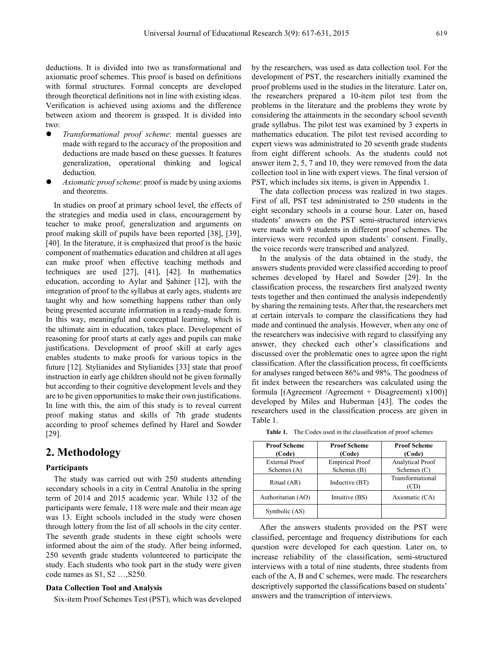deductions. It is divided into two as transformational and axiomatic proof schemes. This proof is based on definitions with formal structures. Formal concepts are developed through theoretical definitions not in line with existing ideas. Verification is achieved using axioms and the difference between axiom and theorem is grasped. It is divided into two:

- *Transformational proof scheme*: mental guesses are made with regard to the accuracy of the proposition and deductions are made based on these guesses. It features generalization, operational thinking and logical deduction.
- *Axiomatic proof scheme*: proof is made by using axioms and theorems.

In studies on proof at primary school level, the effects of the strategies and media used in class, encouragement by teacher to make proof, generalization and arguments on proof making skill of pupils have been reported [38], [39], [40]. In the literature, it is emphasized that proof is the basic component of mathematics education and children at all ages can make proof when effective teaching methods and techniques are used [27], [41], [42]. In mathematics education, according to Aylar and Şahiner [12], with the integration of proof to the syllabus at early ages, students are taught why and how something happens rather than only being presented accurate information in a ready-made form. In this way, meaningful and conceptual learning, which is the ultimate aim in education, takes place. Development of reasoning for proof starts at early ages and pupils can make justifications. Development of proof skill at early ages enables students to make proofs for various topics in the future [12]. Stylianides and Stylianides [33] state that proof instruction in early age children should not be given formally but according to their cognitive development levels and they are to be given opportunities to make their own justifications. In line with this, the aim of this study is to reveal current proof making status and skills of 7th grade students according to proof schemes defined by Harel and Sowder [29].

## **2. Methodology**

### **Participants**

The study was carried out with 250 students attending secondary schools in a city in Central Anatolia in the spring term of 2014 and 2015 academic year. While 132 of the participants were female, 118 were male and their mean age was 13. Eight schools included in the study were chosen through lottery from the list of all schools in the city center. The seventh grade students in these eight schools were informed about the aim of the study. After being informed, 250 seventh grade students volunteered to participate the study. Each students who took part in the study were given code names as S1, S2 …,S250.

## **Data Collection Tool and Analysis**

Six-item Proof Schemes Test (PST), which was developed

by the researchers, was used as data collection tool. For the development of PST, the researchers initially examined the proof problems used in the studies in the literature. Later on, the researchers prepared a 10-item pilot test from the problems in the literature and the problems they wrote by considering the attainments in the secondary school seventh grade syllabus. The pilot test was examined by 3 experts in mathematics education. The pilot test revised according to expert views was administrated to 20 seventh grade students from eight different schools. As the students could not answer item 2, 5, 7 and 10, they were removed from the data collection tool in line with expert views. The final version of PST, which includes six items, is given in Appendix 1.

The data collection process was realized in two stages. First of all, PST test administrated to 250 students in the eight secondary schools in a course hour. Later on, based students' answers on the PST semi-structured interviews were made with 9 students in different proof schemes. The interviews were recorded upon students' consent. Finally, the voice records were transcribed and analyzed.

In the analysis of the data obtained in the study, the answers students provided were classified according to proof schemes developed by Harel and Sowder [29]. In the classification process, the researchers first analyzed twenty tests together and then continued the analysis independently by sharing the remaining tests. After that, the researchers met at certain intervals to compare the classifications they had made and continued the analysis. However, when any one of the researchers was indecisive with regard to classifying any answer, they checked each other's classifications and discussed over the problematic ones to agree upon the right classification. After the classification process, fit coefficients for analyses ranged between 86% and 98%. The goodness of fit index between the researchers was calculated using the formula  $[(Agreement /Agreement + Disagreement) x100)]$ developed by Miles and Huberman [43]. The codes the researchers used in the classification process are given in Table 1.

**Table 1.** The Codes used in the classification of proof schemes

| <b>Proof Scheme</b><br>(Code) | <b>Proof Scheme</b><br>(Code)         | <b>Proof Scheme</b><br>(Code)            |  |  |
|-------------------------------|---------------------------------------|------------------------------------------|--|--|
| External Proof<br>Schemes (A) | <b>Empirical Proof</b><br>Schemes (B) | <b>Analytical Proof</b><br>Schemes $(C)$ |  |  |
| Ritual (AR)                   | Inductive (BT)                        | Transformational<br>(CD)                 |  |  |
| Authoritarian (AO)            | Intuitive (BS)                        | Axiomatic (CA)                           |  |  |
| Symbolic (AS)                 |                                       |                                          |  |  |

After the answers students provided on the PST were classified, percentage and frequency distributions for each question were developed for each question. Later on, to increase reliability of the classification, semi-structured interviews with a total of nine students, three students from each of the A, B and C schemes, were made. The researchers descriptively supported the classifications based on students' answers and the transcription of interviews.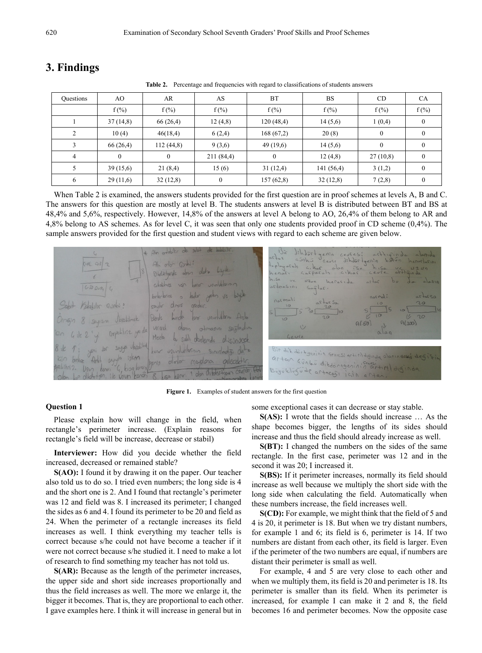| Questions      | AO.       | AR.       | AS           | <b>BT</b>    | <b>BS</b> | CD               | <b>CA</b>        |
|----------------|-----------|-----------|--------------|--------------|-----------|------------------|------------------|
|                | $f(\%)$   | $f(\%)$   | $f(\%)$      | $f(\%)$      | $f(\%)$   | $f(\%)$          | $f(\%)$          |
|                | 37(14,8)  | 66 (26,4) | 12(4,8)      | 120(48,4)    | 14(5,6)   | 1(0,4)           | $\boldsymbol{0}$ |
| 2              | 10(4)     | 46(18,4)  | 6(2,4)       | 168(67,2)    | 20(8)     | $\theta$         | $\theta$         |
| 3              | 66 (26,4) | 112(44,8) | 9(3,6)       | 49(19,6)     | 14(5,6)   | $\boldsymbol{0}$ | $\bf{0}$         |
| $\overline{4}$ | $\Omega$  | $\theta$  | 211 (84,4)   | $\mathbf{0}$ | 12(4,8)   | 27(10,8)         | $\mathbf{0}$     |
| 5              | 39(15,6)  | 21(8,4)   | 15(6)        | 31(12,4)     | 141(56,4) | 3(1,2)           | $\mathbf{0}$     |
| 6              | 29(11,6)  | 32(12,8)  | $\mathbf{0}$ | 157(62,8)    | 32(12,8)  | 7(2,8)           | $\mathbf{0}$     |

# **3. Findings**

Table 2. Percentage and frequencies with regard to classifications of students answers

When Table 2 is examined, the answers students provided for the first question are in proof schemes at levels A, B and C. The answers for this question are mostly at level B. The students answers at level B is distributed between BT and BS at 48,4% and 5,6%, respectively. However, 14,8% of the answers at level A belong to AO, 26,4% of them belong to AR and 4,8% belong to AS schemes. As for level C, it was seen that only one students provided proof in CD scheme (0,4%). The sample answers provided for the first question and student views with regard to each scheme are given below.

 $4264116$  $\alpha$ afparale Midladgende  $1200.1$  $G = 20 \rho_{0} R_{1}$  $h$ charles Petablic Qu  $0<sup>1</sup>$ Zerde  $A(700)$ veruel Moselo dittoragesining Büyüklügüde artacası

**Figure 1.** Examples of student answers for the first question

## **Question 1**

Please explain how will change in the field, when rectangle's perimeter increase. (Explain reasons for rectangle's field will be increase, decrease or stabil)

**Interviewer:** How did you decide whether the field increased, decreased or remained stable?

**S(AO):** I found it by drawing it on the paper. Our teacher also told us to do so. I tried even numbers; the long side is 4 and the short one is 2. And I found that rectangle's perimeter was 12 and field was 8. I increased its perimeter; I changed the sides as 6 and 4. I found its perimeter to be 20 and field as 24. When the perimeter of a rectangle increases its field increases as well. I think everything my teacher tells is correct because s/he could not have become a teacher if it were not correct because s/he studied it. I need to make a lot of research to find something my teacher has not told us.

**S(AR):** Because as the length of the perimeter increases, the upper side and short side increases proportionally and thus the field increases as well. The more we enlarge it, the bigger it becomes. That is, they are proportional to each other. I gave examples here. I think it will increase in general but in

some exceptional cases it can decrease or stay stable.

**S(AS):** I wrote that the fields should increase … As the shape becomes bigger, the lengths of its sides should increase and thus the field should already increase as well.

**S(BT):** I changed the numbers on the sides of the same rectangle. In the first case, perimeter was 12 and in the second it was 20; I increased it.

**S(BS):** If it perimeter increases, normally its field should increase as well because we multiply the short side with the long side when calculating the field. Automatically when these numbers increase, the field increases well.

**S(CD):** For example, we might think that the field of 5 and 4 is 20, it perimeter is 18. But when we try distant numbers, for example 1 and 6; its field is 6, perimeter is 14. If two numbers are distant from each other, its field is larger. Even if the perimeter of the two numbers are equal, if numbers are distant their perimeter is small as well.

For example, 4 and 5 are very close to each other and when we multiply them, its field is 20 and perimeter is 18. Its perimeter is smaller than its field. When its perimeter is increased, for example I can make it 2 and 8, the field becomes 16 and perimeter becomes. Now the opposite case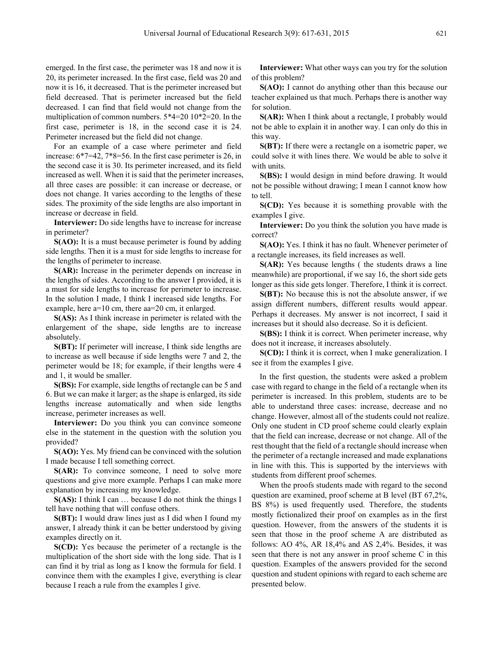emerged. In the first case, the perimeter was 18 and now it is 20, its perimeter increased. In the first case, field was 20 and now it is 16, it decreased. That is the perimeter increased but field decreased. That is perimeter increased but the field decreased. I can find that field would not change from the multiplication of common numbers. 5\*4=20 10\*2=20. In the first case, perimeter is 18, in the second case it is 24. Perimeter increased but the field did not change.

For an example of a case where perimeter and field increase: 6\*7=42, 7\*8=56. In the first case perimeter is 26, in the second case it is 30. Its perimeter increased, and its field increased as well. When it is said that the perimeter increases, all three cases are possible: it can increase or decrease, or does not change. It varies according to the lengths of these sides. The proximity of the side lengths are also important in increase or decrease in field.

**Interviewer:** Do side lengths have to increase for increase in perimeter?

**S(AO):** It is a must because perimeter is found by adding side lengths. Then it is a must for side lengths to increase for the lengths of perimeter to increase.

**S(AR):** Increase in the perimeter depends on increase in the lengths of sides. According to the answer I provided, it is a must for side lengths to increase for perimeter to increase. In the solution I made, I think I increased side lengths. For example, here a=10 cm, there aa=20 cm, it enlarged.

**S(AS):** As I think increase in perimeter is related with the enlargement of the shape, side lengths are to increase absolutely.

**S(BT):** If perimeter will increase, I think side lengths are to increase as well because if side lengths were 7 and 2, the perimeter would be 18; for example, if their lengths were 4 and 1, it would be smaller.

**S(BS):** For example, side lengths of rectangle can be 5 and 6. But we can make it larger; as the shape is enlarged, its side lengths increase automatically and when side lengths increase, perimeter increases as well.

**Interviewer:** Do you think you can convince someone else in the statement in the question with the solution you provided?

**S(AO):** Yes. My friend can be convinced with the solution I made because I tell something correct.

**S(AR):** To convince someone, I need to solve more questions and give more example. Perhaps I can make more explanation by increasing my knowledge.

**S(AS):** I think I can … because I do not think the things I tell have nothing that will confuse others.

**S(BT):** I would draw lines just as I did when I found my answer, I already think it can be better understood by giving examples directly on it.

**S(CD):** Yes because the perimeter of a rectangle is the multiplication of the short side with the long side. That is I can find it by trial as long as I know the formula for field. I convince them with the examples I give, everything is clear because I reach a rule from the examples I give.

**Interviewer:** What other ways can you try for the solution of this problem?

**S(AO):** I cannot do anything other than this because our teacher explained us that much. Perhaps there is another way for solution.

**S(AR):** When I think about a rectangle, I probably would not be able to explain it in another way. I can only do this in this way.

**S(BT):** If there were a rectangle on a isometric paper, we could solve it with lines there. We would be able to solve it with units.

**S(BS):** I would design in mind before drawing. It would not be possible without drawing; I mean I cannot know how to tell.

**S(CD):** Yes because it is something provable with the examples I give.

**Interviewer:** Do you think the solution you have made is correct?

**S(AO):** Yes. I think it has no fault. Whenever perimeter of a rectangle increases, its field increases as well.

**S(AR):** Yes because lengths ( the students draws a line meanwhile) are proportional, if we say 16, the short side gets longer as this side gets longer. Therefore, I think it is correct.

**S(BT):** No because this is not the absolute answer, if we assign different numbers, different results would appear. Perhaps it decreases. My answer is not incorrect, I said it increases but it should also decrease. So it is deficient.

**S(BS):** I think it is correct. When perimeter increase, why does not it increase, it increases absolutely.

**S(CD):** I think it is correct, when I make generalization. I see it from the examples I give.

In the first question, the students were asked a problem case with regard to change in the field of a rectangle when its perimeter is increased. In this problem, students are to be able to understand three cases: increase, decrease and no change. However, almost all of the students could not realize. Only one student in CD proof scheme could clearly explain that the field can increase, decrease or not change. All of the rest thought that the field of a rectangle should increase when the perimeter of a rectangle increased and made explanations in line with this. This is supported by the interviews with students from different proof schemes.

When the proofs students made with regard to the second question are examined, proof scheme at B level (BT 67,2%, BS 8%) is used frequently used. Therefore, the students mostly fictionalized their proof on examples as in the first question. However, from the answers of the students it is seen that those in the proof scheme A are distributed as follows: AO 4%, AR 18,4% and AS 2,4%. Besides, it was seen that there is not any answer in proof scheme C in this question. Examples of the answers provided for the second question and student opinions with regard to each scheme are presented below.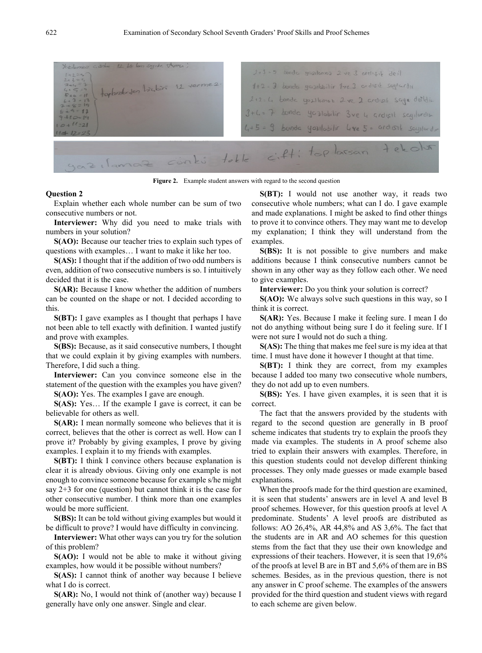

**Figure 2.** Example student answers with regard to the second question

Explain whether each whole number can be sum of two consecutive numbers or not.

**Interviewer:** Why did you need to make trials with numbers in your solution?

**S(AO):** Because our teacher tries to explain such types of questions with examples… I want to make it like her too.

**S(AS):** I thought that if the addition of two odd numbers is even, addition of two consecutive numbers is so. I intuitively decided that it is the case.

**S(AR):** Because I know whether the addition of numbers can be counted on the shape or not. I decided according to this.

**S(BT):** I gave examples as I thought that perhaps I have not been able to tell exactly with definition. I wanted justify and prove with examples.

**S(BS):** Because, as it said consecutive numbers, I thought that we could explain it by giving examples with numbers. Therefore, I did such a thing.

**Interviewer:** Can you convince someone else in the statement of the question with the examples you have given?

**S(AO):** Yes. The examples I gave are enough.

**S(AS):** Yes… If the example I gave is correct, it can be believable for others as well.

**S(AR):** I mean normally someone who believes that it is correct, believes that the other is correct as well. How can I prove it? Probably by giving examples, I prove by giving examples. I explain it to my friends with examples.

**S(BT):** I think I convince others because explanation is clear it is already obvious. Giving only one example is not enough to convince someone because for example s/he might say  $2+3$  for one (question) but cannot think it is the case for other consecutive number. I think more than one examples would be more sufficient.

**S(BS):** It can be told without giving examples but would it be difficult to prove? I would have difficulty in convincing.

**Interviewer:** What other ways can you try for the solution of this problem?

**S(AO):** I would not be able to make it without giving examples, how would it be possible without numbers?

**S(AS):** I cannot think of another way because I believe what I do is correct.

**S(AR):** No, I would not think of (another way) because I generally have only one answer. Single and clear.

**S(BT):** I would not use another way, it reads two consecutive whole numbers; what can I do. I gave example and made explanations. I might be asked to find other things to prove it to convince others. They may want me to develop my explanation; I think they will understand from the examples.

**S(BS):** It is not possible to give numbers and make additions because I think consecutive numbers cannot be shown in any other way as they follow each other. We need to give examples.

**Interviewer:** Do you think your solution is correct?

**S(AO):** We always solve such questions in this way, so I think it is correct.

**S(AR):** Yes. Because I make it feeling sure. I mean I do not do anything without being sure I do it feeling sure. If I were not sure I would not do such a thing.

**S(AS):** The thing that makes me feel sure is my idea at that time. I must have done it however I thought at that time.

**S(BT):** I think they are correct, from my examples because I added too many two consecutive whole numbers, they do not add up to even numbers.

**S(BS):** Yes. I have given examples, it is seen that it is correct.

The fact that the answers provided by the students with regard to the second question are generally in B proof scheme indicates that students try to explain the proofs they made via examples. The students in A proof scheme also tried to explain their answers with examples. Therefore, in this question students could not develop different thinking processes. They only made guesses or made example based explanations.

When the proofs made for the third question are examined, it is seen that students' answers are in level A and level B proof schemes. However, for this question proofs at level A predominate. Students' A level proofs are distributed as follows: AO 26,4%, AR 44,8% and AS 3,6%. The fact that the students are in AR and AO schemes for this question stems from the fact that they use their own knowledge and expressions of their teachers. However, it is seen that 19,6% of the proofs at level B are in BT and 5,6% of them are in BS schemes. Besides, as in the previous question, there is not any answer in C proof scheme. The examples of the answers provided for the third question and student views with regard to each scheme are given below.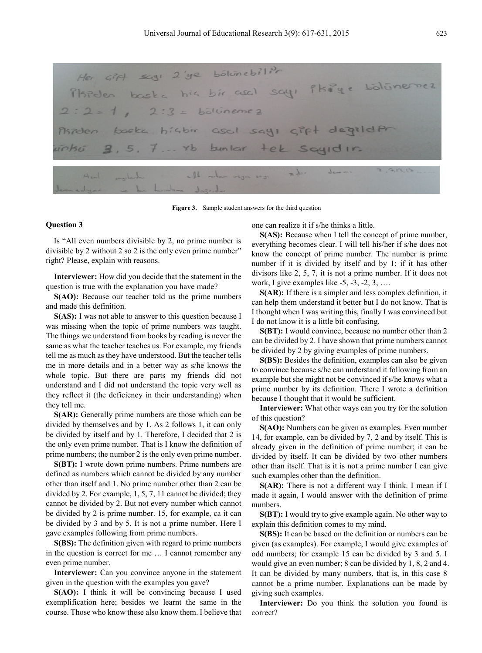Her Girl segi 2'ye bolunebilit sieden baska his bir asal sayı Pkaye bölümer  $2:2 = h_0$ lüneme  $h$ igbir  $Csc, 1$  $SGHICIF+ole$  $x_{b}$  $b$ un lar  $2d$  $-01$ 

**Figure 3.** Sample student answers for the third question

Is "All even numbers divisible by 2, no prime number is divisible by 2 without 2 so 2 is the only even prime number" right? Please, explain with reasons.

**Interviewer:** How did you decide that the statement in the question is true with the explanation you have made?

**S(AO):** Because our teacher told us the prime numbers and made this definition.

**S(AS):** I was not able to answer to this question because I was missing when the topic of prime numbers was taught. The things we understand from books by reading is never the same as what the teacher teaches us. For example, my friends tell me as much as they have understood. But the teacher tells me in more details and in a better way as s/he knows the whole topic. But there are parts my friends did not understand and I did not understand the topic very well as they reflect it (the deficiency in their understanding) when they tell me.

**S(AR):** Generally prime numbers are those which can be divided by themselves and by 1. As 2 follows 1, it can only be divided by itself and by 1. Therefore, I decided that 2 is the only even prime number. That is I know the definition of prime numbers; the number 2 is the only even prime number.

**S(BT):** I wrote down prime numbers. Prime numbers are defined as numbers which cannot be divided by any number other than itself and 1. No prime number other than 2 can be divided by 2. For example, 1, 5, 7, 11 cannot be divided; they cannot be divided by 2. But not every number which cannot be divided by 2 is prime number. 15, for example, ca it can be divided by 3 and by 5. It is not a prime number. Here I gave examples following from prime numbers.

**S(BS):** The definition given with regard to prime numbers in the question is correct for me … I cannot remember any even prime number.

**Interviewer:** Can you convince anyone in the statement given in the question with the examples you gave?

**S(AO):** I think it will be convincing because I used exemplification here; besides we learnt the same in the course. Those who know these also know them. I believe that one can realize it if s/he thinks a little.

**S(AS):** Because when I tell the concept of prime number, everything becomes clear. I will tell his/her if s/he does not know the concept of prime number. The number is prime number if it is divided by itself and by 1; if it has other divisors like 2, 5, 7, it is not a prime number. If it does not work, I give examples like  $-5, -3, -2, 3, \ldots$ 

**S(AR):** If there is a simpler and less complex definition, it can help them understand it better but I do not know. That is I thought when I was writing this, finally I was convinced but I do not know it is a little bit confusing.

**S(BT):** I would convince, because no number other than 2 can be divided by 2. I have shown that prime numbers cannot be divided by 2 by giving examples of prime numbers.

**S(BS):** Besides the definition, examples can also be given to convince because s/he can understand it following from an example but she might not be convinced if s/he knows what a prime number by its definition. There I wrote a definition because I thought that it would be sufficient.

**Interviewer:** What other ways can you try for the solution of this question?

**S(AO):** Numbers can be given as examples. Even number 14, for example, can be divided by 7, 2 and by itself. This is already given in the definition of prime number; it can be divided by itself. It can be divided by two other numbers other than itself. That is it is not a prime number I can give such examples other than the definition.

**S(AR):** There is not a different way I think. I mean if I made it again, I would answer with the definition of prime numbers.

**S(BT):** I would try to give example again. No other way to explain this definition comes to my mind.

**S(BS):** It can be based on the definition or numbers can be given (as examples). For example, I would give examples of odd numbers; for example 15 can be divided by 3 and 5. I would give an even number; 8 can be divided by 1, 8, 2 and 4. It can be divided by many numbers, that is, in this case 8 cannot be a prime number. Explanations can be made by giving such examples.

**Interviewer:** Do you think the solution you found is correct?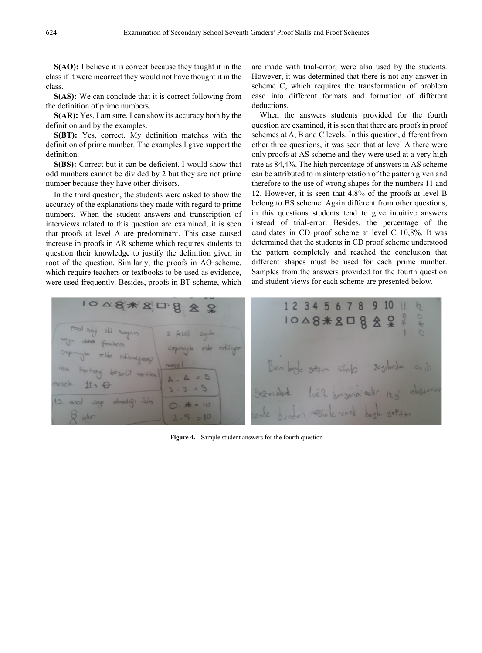**S(AO):** I believe it is correct because they taught it in the class if it were incorrect they would not have thought it in the class.

**S(AS):** We can conclude that it is correct following from the definition of prime numbers.

**S(AR):** Yes, I am sure. I can show its accuracy both by the definition and by the examples.

**S(BT):** Yes, correct. My definition matches with the definition of prime number. The examples I gave support the definition.

**S(BS):** Correct but it can be deficient. I would show that odd numbers cannot be divided by 2 but they are not prime number because they have other divisors.

In the third question, the students were asked to show the accuracy of the explanations they made with regard to prime numbers. When the student answers and transcription of interviews related to this question are examined, it is seen that proofs at level A are predominant. This case caused increase in proofs in AR scheme which requires students to question their knowledge to justify the definition given in root of the question. Similarly, the proofs in AO scheme, which require teachers or textbooks to be used as evidence, were used frequently. Besides, proofs in BT scheme, which

are made with trial-error, were also used by the students. However, it was determined that there is not any answer in scheme C, which requires the transformation of problem case into different formats and formation of different deductions.

When the answers students provided for the fourth question are examined, it is seen that there are proofs in proof schemes at A, B and C levels. In this question, different from other three questions, it was seen that at level A there were only proofs at AS scheme and they were used at a very high rate as 84,4%. The high percentage of answers in AS scheme can be attributed to misinterpretation of the pattern given and therefore to the use of wrong shapes for the numbers 11 and 12. However, it is seen that 4,8% of the proofs at level B belong to BS scheme. Again different from other questions, in this questions students tend to give intuitive answers instead of trial-error. Besides, the percentage of the candidates in CD proof scheme at level C 10,8%. It was determined that the students in CD proof scheme understood the pattern completely and reached the conclusion that different shapes must be used for each prime number. Samples from the answers provided for the fourth question and student views for each scheme are presented below.



**Figure 4.** Sample student answers for the fourth question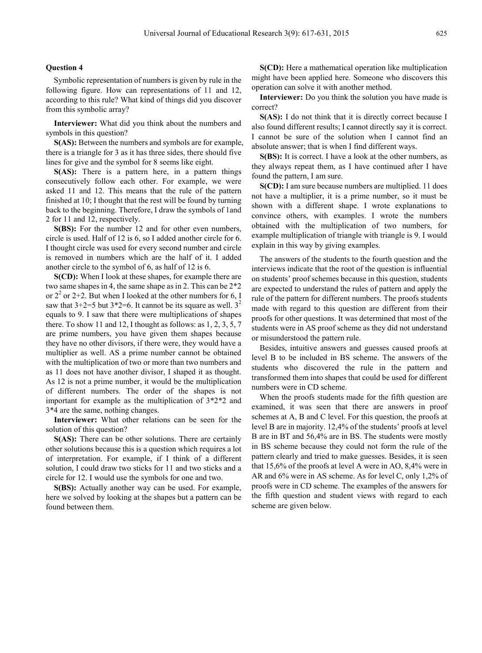Symbolic representation of numbers is given by rule in the following figure. How can representations of 11 and 12, according to this rule? What kind of things did you discover from this symbolic array?

**Interviewer:** What did you think about the numbers and symbols in this question?

**S(AS):** Between the numbers and symbols are for example, there is a triangle for 3 as it has three sides, there should five lines for give and the symbol for 8 seems like eight.

**S(AS):** There is a pattern here, in a pattern things consecutively follow each other. For example, we were asked 11 and 12. This means that the rule of the pattern finished at 10; I thought that the rest will be found by turning back to the beginning. Therefore, I draw the symbols of 1and 2 for 11 and 12, respectively.

**S(BS):** For the number 12 and for other even numbers, circle is used. Half of 12 is 6, so I added another circle for 6. I thought circle was used for every second number and circle is removed in numbers which are the half of it. I added another circle to the symbol of 6, as half of 12 is 6.

**S(CD):** When I look at these shapes, for example there are two same shapes in 4, the same shape as in 2. This can be 2\*2 or  $2^2$  or 2+2. But when I looked at the other numbers for 6, I saw that  $3+2=5$  but  $3*2=6$ . It cannot be its square as well.  $3^2$ equals to 9. I saw that there were multiplications of shapes there. To show 11 and 12, I thought as follows: as 1, 2, 3, 5, 7 are prime numbers, you have given them shapes because they have no other divisors, if there were, they would have a multiplier as well. AS a prime number cannot be obtained with the multiplication of two or more than two numbers and as 11 does not have another divisor, I shaped it as thought. As 12 is not a prime number, it would be the multiplication of different numbers. The order of the shapes is not important for example as the multiplication of 3\*2\*2 and 3\*4 are the same, nothing changes.

**Interviewer:** What other relations can be seen for the solution of this question?

**S(AS):** There can be other solutions. There are certainly other solutions because this is a question which requires a lot of interpretation. For example, if I think of a different solution, I could draw two sticks for 11 and two sticks and a circle for 12. I would use the symbols for one and two.

**S(BS):** Actually another way can be used. For example, here we solved by looking at the shapes but a pattern can be found between them.

**S(CD):** Here a mathematical operation like multiplication might have been applied here. Someone who discovers this operation can solve it with another method.

**Interviewer:** Do you think the solution you have made is correct?

**S(AS):** I do not think that it is directly correct because I also found different results; I cannot directly say it is correct. I cannot be sure of the solution when I cannot find an absolute answer; that is when I find different ways.

**S(BS):** It is correct. I have a look at the other numbers, as they always repeat them, as I have continued after I have found the pattern, I am sure.

**S(CD):** I am sure because numbers are multiplied. 11 does not have a multiplier, it is a prime number, so it must be shown with a different shape. I wrote explanations to convince others, with examples. I wrote the numbers obtained with the multiplication of two numbers, for example multiplication of triangle with triangle is 9. I would explain in this way by giving examples.

The answers of the students to the fourth question and the interviews indicate that the root of the question is influential on students' proof schemes because in this question, students are expected to understand the rules of pattern and apply the rule of the pattern for different numbers. The proofs students made with regard to this question are different from their proofs for other questions. It was determined that most of the students were in AS proof scheme as they did not understand or misunderstood the pattern rule.

Besides, intuitive answers and guesses caused proofs at level B to be included in BS scheme. The answers of the students who discovered the rule in the pattern and transformed them into shapes that could be used for different numbers were in CD scheme.

When the proofs students made for the fifth question are examined, it was seen that there are answers in proof schemes at A, B and C level. For this question, the proofs at level B are in majority. 12,4% of the students' proofs at level B are in BT and 56,4% are in BS. The students were mostly in BS scheme because they could not form the rule of the pattern clearly and tried to make guesses. Besides, it is seen that 15,6% of the proofs at level A were in AO, 8,4% were in AR and 6% were in AS scheme. As for level C, only 1,2% of proofs were in CD scheme. The examples of the answers for the fifth question and student views with regard to each scheme are given below.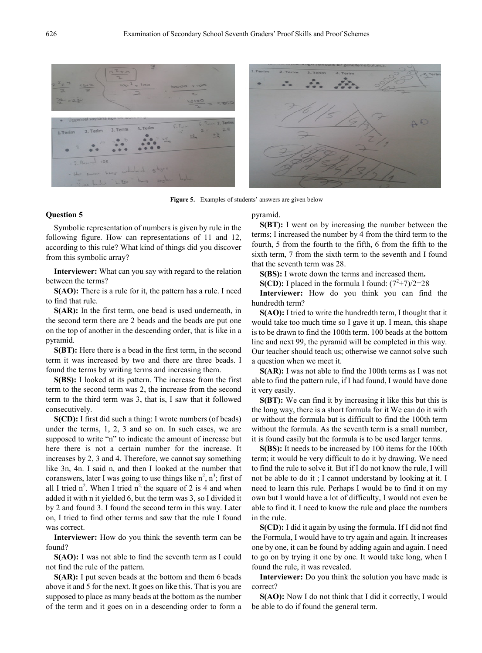

**Figure 5.** Examples of students' answers are given below

Symbolic representation of numbers is given by rule in the following figure. How can representations of 11 and 12, according to this rule? What kind of things did you discover from this symbolic array?

**Interviewer:** What can you say with regard to the relation between the terms?

**S(AO):** There is a rule for it, the pattern has a rule. I need to find that rule.

**S(AR):** In the first term, one bead is used underneath, in the second term there are 2 beads and the beads are put one on the top of another in the descending order, that is like in a pyramid.

**S(BT):** Here there is a bead in the first term, in the second term it was increased by two and there are three beads. I found the terms by writing terms and increasing them.

**S(BS):** I looked at its pattern. The increase from the first term to the second term was 2, the increase from the second term to the third term was 3, that is, I saw that it followed consecutively.

**S(CD):** I first did such a thing: I wrote numbers (of beads) under the terms, 1, 2, 3 and so on. In such cases, we are supposed to write "n" to indicate the amount of increase but here there is not a certain number for the increase. It increases by 2, 3 and 4. Therefore, we cannot say something like 3n, 4n. I said n, and then I looked at the number that coranswers, later I was going to use things like  $n^2$ ,  $n^3$ ; first of all I tried  $n^2$ . When I tried  $n^2$  the square of 2 is 4 and when added it with n it yielded 6, but the term was 3, so I divided it by 2 and found 3. I found the second term in this way. Later on, I tried to find other terms and saw that the rule I found was correct.

**Interviewer:** How do you think the seventh term can be found?

**S(AO):** I was not able to find the seventh term as I could not find the rule of the pattern.

**S(AR):** I put seven beads at the bottom and them 6 beads above it and 5 for the next. It goes on like this. That is you are supposed to place as many beads at the bottom as the number of the term and it goes on in a descending order to form a

#### pyramid.

**S(BT):** I went on by increasing the number between the terms; I increased the number by 4 from the third term to the fourth, 5 from the fourth to the fifth, 6 from the fifth to the sixth term, 7 from the sixth term to the seventh and I found that the seventh term was 28.

**S(BS):** I wrote down the terms and increased them**.** 

**S(CD):** I placed in the formula I found:  $(7^2+7)/2=28$ 

**Interviewer:** How do you think you can find the hundredth term?

**S(AO):** I tried to write the hundredth term, I thought that it would take too much time so I gave it up. I mean, this shape is to be drawn to find the 100th term. 100 beads at the bottom line and next 99, the pyramid will be completed in this way. Our teacher should teach us; otherwise we cannot solve such a question when we meet it.

**S(AR):** I was not able to find the 100th terms as I was not able to find the pattern rule, if I had found, I would have done it very easily.

**S(BT):** We can find it by increasing it like this but this is the long way, there is a short formula for it We can do it with or without the formula but is difficult to find the 100th term without the formula. As the seventh term is a small number, it is found easily but the formula is to be used larger terms.

**S(BS):** It needs to be increased by 100 items for the 100th term; it would be very difficult to do it by drawing. We need to find the rule to solve it. But if I do not know the rule, I will not be able to do it ; I cannot understand by looking at it. I need to learn this rule. Perhaps I would be to find it on my own but I would have a lot of difficulty, I would not even be able to find it. I need to know the rule and place the numbers in the rule.

**S(CD):** I did it again by using the formula. If I did not find the Formula, I would have to try again and again. It increases one by one, it can be found by adding again and again. I need to go on by trying it one by one. It would take long, when I found the rule, it was revealed.

**Interviewer:** Do you think the solution you have made is correct?

**S(AO):** Now I do not think that I did it correctly, I would be able to do if found the general term.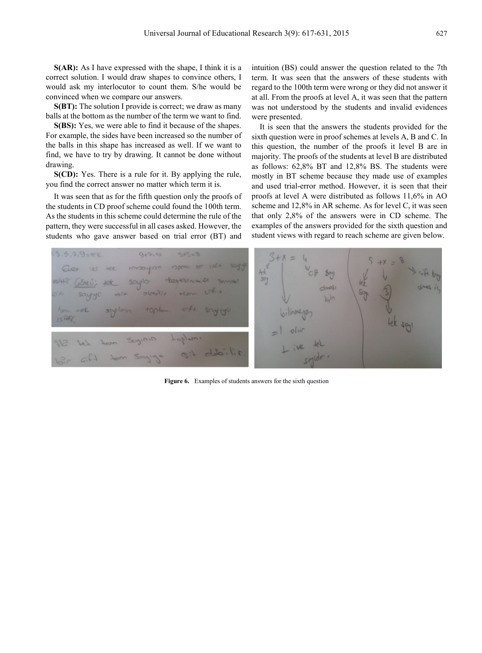**S(AR):** As I have expressed with the shape, I think it is a correct solution. I would draw shapes to convince others, I would ask my interlocutor to count them. S/he would be convinced when we compare our answers.

**S(BT):** The solution I provide is correct; we draw as many balls at the bottom as the number of the term we want to find.

**S(BS):** Yes, we were able to find it because of the shapes. For example, the sides have been increased so the number of the balls in this shape has increased as well. If we want to find, we have to try by drawing. It cannot be done without drawing.

**S(CD):** Yes. There is a rule for it. By applying the rule, you find the correct answer no matter which term it is.

It was seen that as for the fifth question only the proofs of the students in CD proof scheme could found the 100th term. As the students in this scheme could determine the rule of the pattern, they were successful in all cases asked. However, the students who gave answer based on trial error (BT) and

intuition (BS) could answer the question related to the 7th term. It was seen that the answers of these students with regard to the 100th term were wrong or they did not answer it at all. From the proofs at level A, it was seen that the pattern was not understood by the students and invalid evidences were presented.

It is seen that the answers the students provided for the sixth question were in proof schemes at levels A, B and C. In this question, the number of the proofs it level B are in majority. The proofs of the students at level B are distributed as follows: 62,8% BT and 12,8% BS. The students were mostly in BT scheme because they made use of examples and used trial-error method. However, it is seen that their proofs at level A were distributed as follows 11,6% in AO scheme and 12,8% in AR scheme. As for level C, it was seen that only 2,8% of the answers were in CD scheme. The examples of the answers provided for the sixth question and student views with regard to reach scheme are given below.



**Figure 6.** Examples of students answers for the sixth question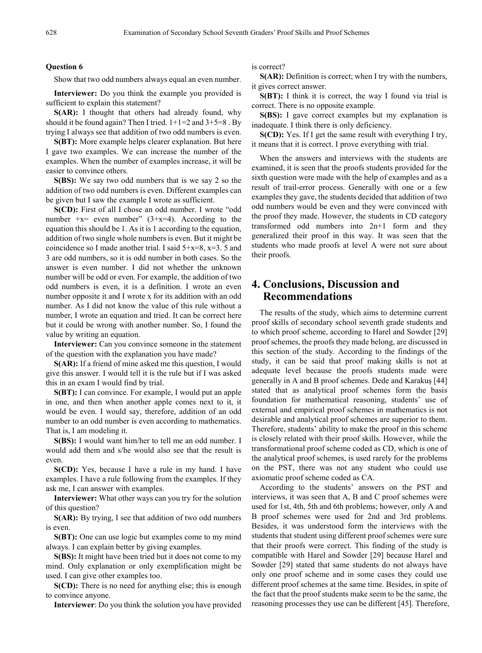Show that two odd numbers always equal an even number.

**Interviewer:** Do you think the example you provided is sufficient to explain this statement?

**S(AR):** I thought that others had already found, why should it be found again? Then I tried.  $1+1=2$  and  $3+5=8$ . By trying I always see that addition of two odd numbers is even.

**S(BT):** More example helps clearer explanation. But here I gave two examples. We can increase the number of the examples. When the number of examples increase, it will be easier to convince others.

**S(BS):** We say two odd numbers that is we say 2 so the addition of two odd numbers is even. Different examples can be given but I saw the example I wrote as sufficient.

**S(CD):** First of all I chose an odd number. I wrote "odd number  $+x=$  even number" (3+x=4). According to the equation this should be 1. As it is 1 according to the equation, addition of two single whole numbers is even. But it might be coincidence so I made another trial. I said  $5+x=8$ ,  $x=3$ . 5 and 3 are odd numbers, so it is odd number in both cases. So the answer is even number. I did not whether the unknown number will be odd or even. For example, the addition of two odd numbers is even, it is a definition. I wrote an even number opposite it and I wrote x for its addition with an odd number. As I did not know the value of this rule without a number, I wrote an equation and tried. It can be correct here but it could be wrong with another number. So, I found the value by writing an equation.

**Interviewer:** Can you convince someone in the statement of the question with the explanation you have made?

**S(AR):** If a friend of mine asked me this question, I would give this answer. I would tell it is the rule but if I was asked this in an exam I would find by trial.

**S(BT):** I can convince. For example, I would put an apple in one, and then when another apple comes next to it, it would be even. I would say, therefore, addition of an odd number to an odd number is even according to mathematics. That is, I am modeling it.

**S(BS):** I would want him/her to tell me an odd number. I would add them and s/he would also see that the result is even.

**S(CD):** Yes, because I have a rule in my hand. I have examples. I have a rule following from the examples. If they ask me, I can answer with examples.

**Interviewer:** What other ways can you try for the solution of this question?

**S(AR):** By trying, I see that addition of two odd numbers is even.

**S(BT):** One can use logic but examples come to my mind always. I can explain better by giving examples.

**S(BS):** It might have been tried but it does not come to my mind. Only explanation or only exemplification might be used. I can give other examples too.

**S(CD):** There is no need for anything else; this is enough to convince anyone.

**Interviewer**: Do you think the solution you have provided

is correct?

**S(AR):** Definition is correct; when I try with the numbers, it gives correct answer.

**S(BT):** I think it is correct, the way I found via trial is correct. There is no opposite example.

**S(BS):** I gave correct examples but my explanation is inadequate. I think there is only deficiency.

**S(CD):** Yes. If I get the same result with everything I try, it means that it is correct. I prove everything with trial.

When the answers and interviews with the students are examined, it is seen that the proofs students provided for the sixth question were made with the help of examples and as a result of trail-error process. Generally with one or a few examples they gave, the students decided that addition of two odd numbers would be even and they were convinced with the proof they made. However, the students in CD category transformed odd numbers into 2n+1 form and they generalized their proof in this way. It was seen that the students who made proofs at level A were not sure about their proofs.

# **4. Conclusions, Discussion and Recommendations**

The results of the study, which aims to determine current proof skills of secondary school seventh grade students and to which proof scheme, according to Harel and Sowder [29] proof schemes, the proofs they made belong, are discussed in this section of the study. According to the findings of the study, it can be said that proof making skills is not at adequate level because the proofs students made were generally in A and B proof schemes. Dede and Karakuş [44] stated that as analytical proof schemes form the basis foundation for mathematical reasoning, students' use of external and empirical proof schemes in mathematics is not desirable and analytical proof schemes are superior to them. Therefore, students' ability to make the proof in this scheme is closely related with their proof skills. However, while the transformational proof scheme coded as CD, which is one of the analytical proof schemes, is used rarely for the problems on the PST, there was not any student who could use axiomatic proof scheme coded as CA.

According to the students' answers on the PST and interviews, it was seen that A, B and C proof schemes were used for 1st, 4th, 5th and 6th problems; however, only A and B proof schemes were used for 2nd and 3rd problems. Besides, it was understood form the interviews with the students that student using different proof schemes were sure that their proofs were correct. This finding of the study is compatible with Harel and Sowder [29] because Harel and Sowder [29] stated that same students do not always have only one proof scheme and in some cases they could use different proof schemes at the same time. Besides, in spite of the fact that the proof students make seem to be the same, the reasoning processes they use can be different [45]. Therefore,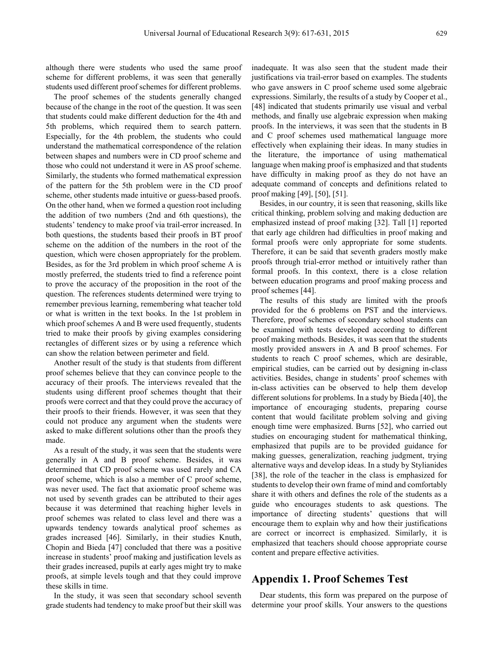although there were students who used the same proof scheme for different problems, it was seen that generally students used different proof schemes for different problems.

The proof schemes of the students generally changed because of the change in the root of the question. It was seen that students could make different deduction for the 4th and 5th problems, which required them to search pattern. Especially, for the 4th problem, the students who could understand the mathematical correspondence of the relation between shapes and numbers were in CD proof scheme and those who could not understand it were in AS proof scheme. Similarly, the students who formed mathematical expression of the pattern for the 5th problem were in the CD proof scheme, other students made intuitive or guess-based proofs. On the other hand, when we formed a question root including the addition of two numbers (2nd and 6th questions), the students' tendency to make proof via trail-error increased. In both questions, the students based their proofs in BT proof scheme on the addition of the numbers in the root of the question, which were chosen appropriately for the problem. Besides, as for the 3rd problem in which proof scheme A is mostly preferred, the students tried to find a reference point to prove the accuracy of the proposition in the root of the question. The references students determined were trying to remember previous learning, remembering what teacher told or what is written in the text books. In the 1st problem in which proof schemes A and B were used frequently, students tried to make their proofs by giving examples considering rectangles of different sizes or by using a reference which can show the relation between perimeter and field.

Another result of the study is that students from different proof schemes believe that they can convince people to the accuracy of their proofs. The interviews revealed that the students using different proof schemes thought that their proofs were correct and that they could prove the accuracy of their proofs to their friends. However, it was seen that they could not produce any argument when the students were asked to make different solutions other than the proofs they made.

As a result of the study, it was seen that the students were generally in A and B proof scheme. Besides, it was determined that CD proof scheme was used rarely and CA proof scheme, which is also a member of C proof scheme, was never used. The fact that axiomatic proof scheme was not used by seventh grades can be attributed to their ages because it was determined that reaching higher levels in proof schemes was related to class level and there was a upwards tendency towards analytical proof schemes as grades increased [46]. Similarly, in their studies Knuth, Chopin and Bieda [47] concluded that there was a positive increase in students' proof making and justification levels as their grades increased, pupils at early ages might try to make proofs, at simple levels tough and that they could improve these skills in time.

In the study, it was seen that secondary school seventh grade students had tendency to make proof but their skill was

inadequate. It was also seen that the student made their justifications via trail-error based on examples. The students who gave answers in C proof scheme used some algebraic expressions. Similarly, the results of a study by Cooper et al., [48] indicated that students primarily use visual and verbal methods, and finally use algebraic expression when making proofs. In the interviews, it was seen that the students in B and C proof schemes used mathematical language more effectively when explaining their ideas. In many studies in the literature, the importance of using mathematical language when making proof is emphasized and that students have difficulty in making proof as they do not have an adequate command of concepts and definitions related to proof making [49], [50], [51].

Besides, in our country, it is seen that reasoning, skills like critical thinking, problem solving and making deduction are emphasized instead of proof making [32]. Tall [1] reported that early age children had difficulties in proof making and formal proofs were only appropriate for some students. Therefore, it can be said that seventh graders mostly make proofs through trial-error method or intuitively rather than formal proofs. In this context, there is a close relation between education programs and proof making process and proof schemes [44].

The results of this study are limited with the proofs provided for the 6 problems on PST and the interviews. Therefore, proof schemes of secondary school students can be examined with tests developed according to different proof making methods. Besides, it was seen that the students mostly provided answers in A and B proof schemes. For students to reach C proof schemes, which are desirable, empirical studies, can be carried out by designing in-class activities. Besides, change in students' proof schemes with in-class activities can be observed to help them develop different solutions for problems. In a study by Bieda [40], the importance of encouraging students, preparing course content that would facilitate problem solving and giving enough time were emphasized. Burns [52], who carried out studies on encouraging student for mathematical thinking, emphasized that pupils are to be provided guidance for making guesses, generalization, reaching judgment, trying alternative ways and develop ideas. In a study by Stylianides [38], the role of the teacher in the class is emphasized for students to develop their own frame of mind and comfortably share it with others and defines the role of the students as a guide who encourages students to ask questions. The importance of directing students' questions that will encourage them to explain why and how their justifications are correct or incorrect is emphasized. Similarly, it is emphasized that teachers should choose appropriate course content and prepare effective activities.

# **Appendix 1. Proof Schemes Test**

Dear students, this form was prepared on the purpose of determine your proof skills. Your answers to the questions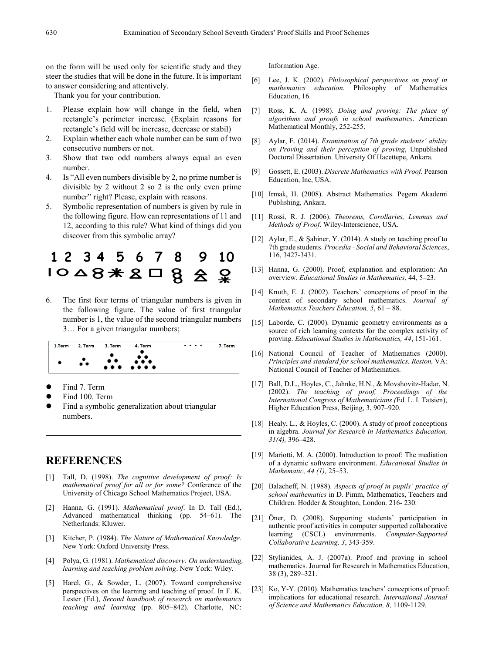on the form will be used only for scientific study and they steer the studies that will be done in the future. It is important to answer considering and attentively.

Thank you for your contribution.

- 1. Please explain how will change in the field, when rectangle's perimeter increase. (Explain reasons for rectangle's field will be increase, decrease or stabil)
- 2. Explain whether each whole number can be sum of two consecutive numbers or not.
- 3. Show that two odd numbers always equal an even number.
- 4. Is "All even numbers divisible by 2, no prime number is divisible by 2 without 2 so 2 is the only even prime number" right? Please, explain with reasons.
- 5. Symbolic representation of numbers is given by rule in the following figure. How can representations of 11 and 12, according to this rule? What kind of things did you discover from this symbolic array?



6. The first four terms of triangular numbers is given in the following figure. The value of first triangular number is 1, the value of the second triangular numbers 3… For a given triangular numbers;



- Find 7. Term
- Find 100. Term
- Find a symbolic generalization about triangular numbers.

# **REFERENCES**

- [1] Tall, D. (1998). *The cognitive development of proof: Is mathematical proof for all or for some?* Conference of the University of Chicago School Mathematics Project, USA.
- [2] Hanna, G. (1991). *Mathematical proof*. In D. Tall (Ed.), Advanced mathematical thinking (pp. 54–61). The Netherlands: Kluwer.
- [3] Kitcher, P. (1984). *The Nature of Mathematical Knowledge*. New York: Oxford University Press.
- [4] Polya, G. (1981). *Mathematical discovery: On understanding, learning and teaching problem solving*. New York: Wiley.
- [5] Harel, G., & Sowder, L. (2007). Toward comprehensive perspectives on the learning and teaching of proof. In F. K. Lester (Ed.), *Second handbook of research on mathematics teaching and learning* (pp. 805–842). Charlotte, NC:

Information Age.

- [6] Lee, J. K. (2002). *Philosophical perspectives on proof in mathematics education*. Philosophy of Mathematics Education, 16.
- [7] Ross, K. A. (1998). *Doing and proving: The place of algorithms and proofs in school mathematics*. American Mathematical Monthly, 252-255.
- [8] Aylar, E. (2014). *Examination of 7th grade students' ability on Proving and their perception of proving*, Unpublished Doctoral Dissertation. University Of Hacettepe, Ankara.
- [9] Gossett, E. (2003). *Discrete Mathematics with Proof*. Pearson Education, Inc, USA.
- [10] Irmak, H. (2008). Abstract Mathematics. Pegem Akademi Publishing, Ankara.
- [11] Rossi, R. J. (2006). *Theorems, Corollaries, Lemmas and Methods of Proof*. Wiley-Interscience, USA.
- [12] Aylar, E., & Şahiner, Y. (2014). A study on teaching proof to 7th grade students. *Procedia - Social and Behavioral Sciences*, 116, 3427-3431.
- [13] Hanna, G. (2000). Proof, explanation and exploration: An overview. *Educational Studies in Mathematics*, 44, 5–23.
- [14] Knuth, E. J. (2002). Teachers' conceptions of proof in the context of secondary school mathematics. *Journal of Mathematics Teachers Education, 5*, 61 – 88.
- [15] Laborde, C. (2000). Dynamic geometry environments as a source of rich learning contexts for the complex activity of proving. *Educational Studies in Mathematics, 44*, 151-161.
- [16] National Council of Teacher of Mathematics (2000). *Principles and standard for school mathematics. Reston,* VA: National Council of Teacher of Mathematics.
- [17] Ball, D.L., Hoyles, C., Jahnke, H.N., & Movshovitz-Hadar, N. (2002). *The teaching of proof, Proceedings of the International Congress of Mathematicians (*Ed. L. I. Tatsien), Higher Education Press, Beijing, 3, 907–920.
- [18] Healy, L., & Hoyles, C. (2000). A study of proof conceptions in algebra. *Journal for Research in Mathematics Education, 31(4),* 396–428.
- [19] Mariotti, M. A. (2000). Introduction to proof: The mediation of a dynamic software environment. *Educational Studies in Mathematic, 44 (1),* 25–53.
- [20] Balacheff, N. (1988). *Aspects of proof in pupils' practice of school mathematics* in D. Pimm, Mathematics, Teachers and Children. Hodder & Stoughton, London. 216- 230.
- [21] Öner, D. (2008). Supporting students' participation in authentic proof activities in computer supported collaborative learning (CSCL) environments. *Computer-Supported Collaborative Learning, 3*, 343-359.
- [22] Stylianides, A. J. (2007a). Proof and proving in school mathematics. Journal for Research in Mathematics Education, 38 (3), 289–321.
- [23] Ko, Y-Y. (2010). Mathematics teachers' conceptions of proof: implications for educational research. *International Journal of Science and Mathematics Education, 8,* 1109-1129.